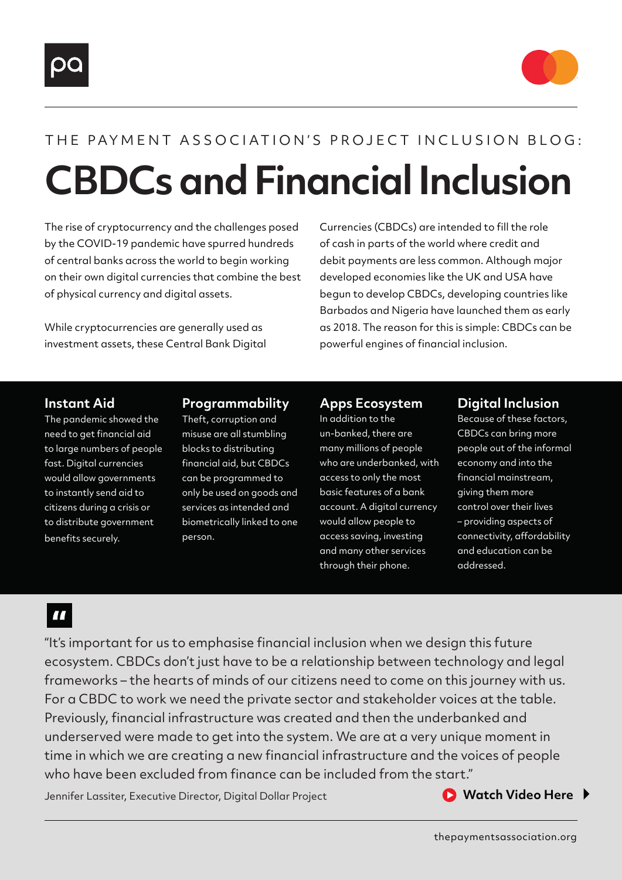



# **CBDCs and Financial Inclusion** THE PAYMENT ASSOCIATION'S PROJECT INCLUSION BLOG:

The rise of cryptocurrency and the challenges posed by the COVID-19 pandemic have spurred hundreds of central banks across the world to begin working on their own digital currencies that combine the best of physical currency and digital assets.

While cryptocurrencies are generally used as investment assets, these Central Bank Digital Currencies (CBDCs) are intended to fill the role of cash in parts of the world where credit and debit payments are less common. Although major developed economies like the UK and USA have begun to develop CBDCs, developing countries like Barbados and Nigeria have launched them as early as 2018. The reason for this is simple: CBDCs can be powerful engines of financial inclusion.

#### **Instant Aid**

The pandemic showed the need to get financial aid to large numbers of people fast. Digital currencies would allow governments to instantly send aid to citizens during a crisis or to distribute government benefits securely.

#### **Programmability**

Theft, corruption and misuse are all stumbling blocks to distributing financial aid, but CBDCs can be programmed to only be used on goods and services as intended and biometrically linked to one person.

#### **Apps Ecosystem**

In addition to the un-banked, there are many millions of people who are underbanked, with access to only the most basic features of a bank account. A digital currency would allow people to access saving, investing and many other services through their phone.

#### **Digital Inclusion**

Because of these factors, CBDCs can bring more people out of the informal economy and into the financial mainstream, giving them more control over their lives – providing aspects of connectivity, affordability and education can be addressed.

### $\blacksquare$

"It's important for us to emphasise financial inclusion when we design this future ecosystem. CBDCs don't just have to be a relationship between technology and legal frameworks – the hearts of minds of our citizens need to come on this journey with us. For a CBDC to work we need the private sector and stakeholder voices at the table. Previously, financial infrastructure was created and then the underbanked and underserved were made to get into the system. We are at a very unique moment in time in which we are creating a new financial infrastructure and the voices of people who have been excluded from finance can be included from the start."

Jennifer Lassiter, Executive Director, Digital Dollar Project

**■ [Watch Video Here](https://www.youtube.com/watch?v=RSk8oGxw3Fc)**